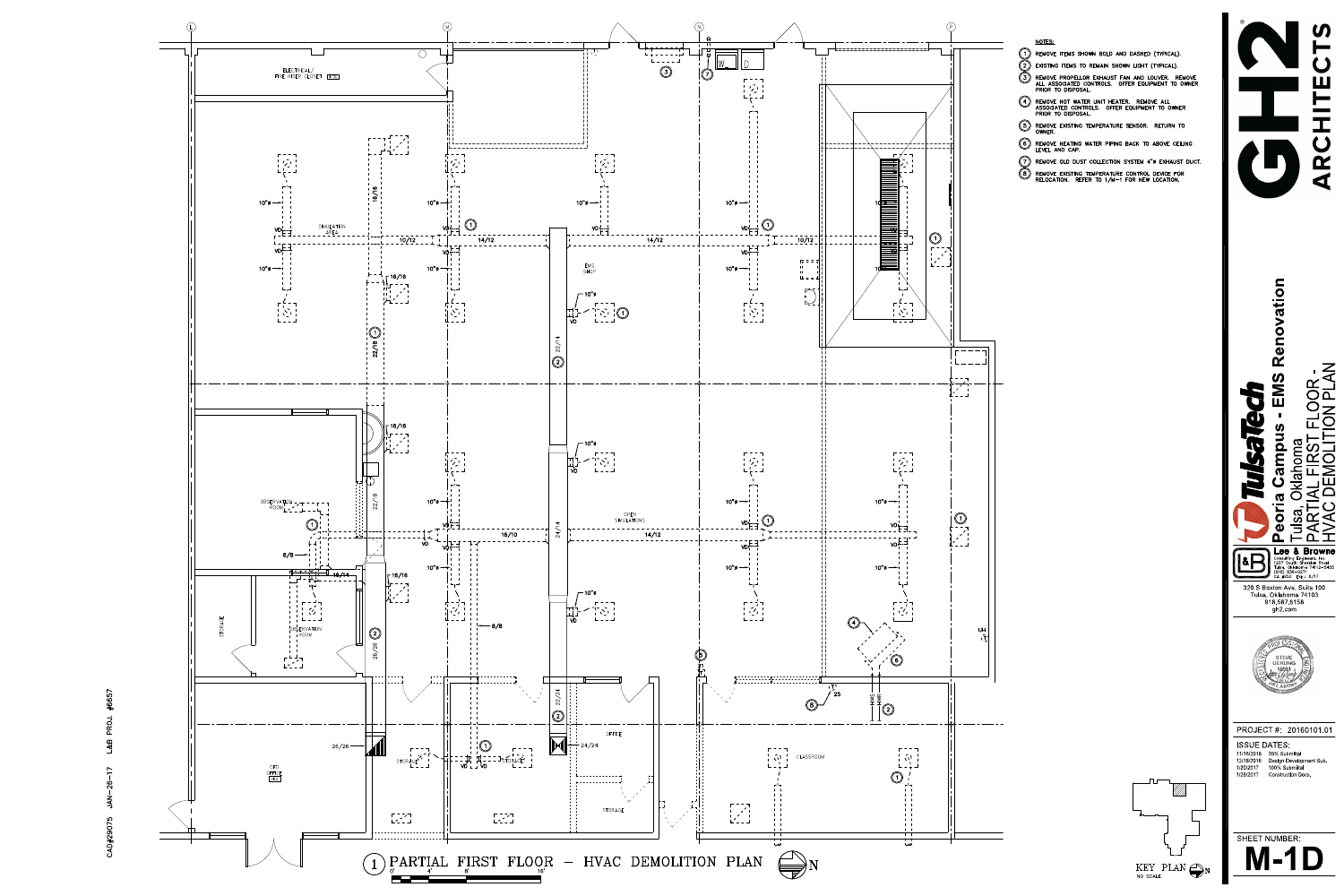$(P)$ HVAC DEMOLITION PLAN **ARCHITECTS SV T1"' TJ MJ REMOVE ITEMS SHOWN BOLD AND DASHED (TYPICAL), fy EXISTING ITEMS TO REMAIN SHOWN UGHT (TYPICAL).** © **REMOVE PROPELLOR EXHAUST FAN AND LOUVER. REMOVE ALL ASSOCIATED CONTROLS. OFFER EQUIPMENT TO OWNER** Ш **PRIOR TO DISPOSAL 4 REMOVE HOT WATER UNIT HEATER. REMOVE ALL ASSOCIATED CONTROLS. OFFER EQUIPMENT TO OWNER PRIOR TO DISPOSAL 5 REMOVE EXISTING TEMPERATURE SENSOR. RETURN TO OWNER. LEVEL AND CAP.**  $\alpha$ **REMOVE OLD DUST COLLECTION SYSTEM 4"0 EXHAUST DUCT.** ⁄ ଛ ∖ **REMOVE EXISTING TEMPERATURE CONTROL DEVICE FOR RELOCATION. REFER TO 1/M —1 FOR NEW LOCATION.**  $\sim$   $\sim$   $\sim$   $\sim$ **Peoria Campus - EMS Renovation**  $\overline{\phantom{a}}$   $\overline{\phantom{a}}$   $\overline{\phantom{a}}$   $\overline{\phantom{a}}$   $\overline{\phantom{a}}$   $\overline{\phantom{a}}$   $\overline{\phantom{a}}$   $\overline{\phantom{a}}$   $\overline{\phantom{a}}$   $\overline{\phantom{a}}$   $\overline{\phantom{a}}$   $\overline{\phantom{a}}$   $\overline{\phantom{a}}$   $\overline{\phantom{a}}$   $\overline{\phantom{a}}$   $\overline{\phantom{a}}$   $\overline{\phantom{a}}$   $\overline{\phantom{a}}$   $\overline{\$ **TOMA<br>FRST FLOOR-**<br>MOLITION PLAN PARTIAL FIRST FLOOR- $- - - -$ Ni<br>E  $\overline{D} \longrightarrow \overline{I}$ 9 <sup>I</sup> *'* <sup>I</sup> ii/\_\_\_\_ <sup>i</sup> £ 5 Tulsa, Oklahoma mp **U** Tulsa, Oklahd<br>PARTIAL FII<br>HVAC DEMI  $\boldsymbol{\omega}$ **5**  $\mathbf C$  $\overline{\mathbf{o}}$  $\begin{bmatrix} 1 & 1 \\ 1 & 1 \\ 1 & 1 \end{bmatrix}$ O **\_ Lee & Browne** 18<sub>B</sub> Consulting Engineers, Inc. 1207 South Sheridan Road Tulsa, Oklahoma 74112 —5405 (918) 836-0271 CA #252 Exp.: 6/17 320 S Boston Ave, Suite 100 Tulsa, Oklahoma 74103 918.587.6158 gh2.com **iT' STEVE EXAMPLE** '- *4* PROJECT#: 20160101.01 ISSUE DATES: 11/16/2016 35% Submittal 12/16/2016 Design Development Sub. 100% Submittal 1/20/2017 1/26/2017 Construction Docs. SHEET NUMBER: M-1D **N** KEY PLAN N

NO SCALE



**CAD#29075 J A N -2 6 -1 7 L&B PROJ. #6657**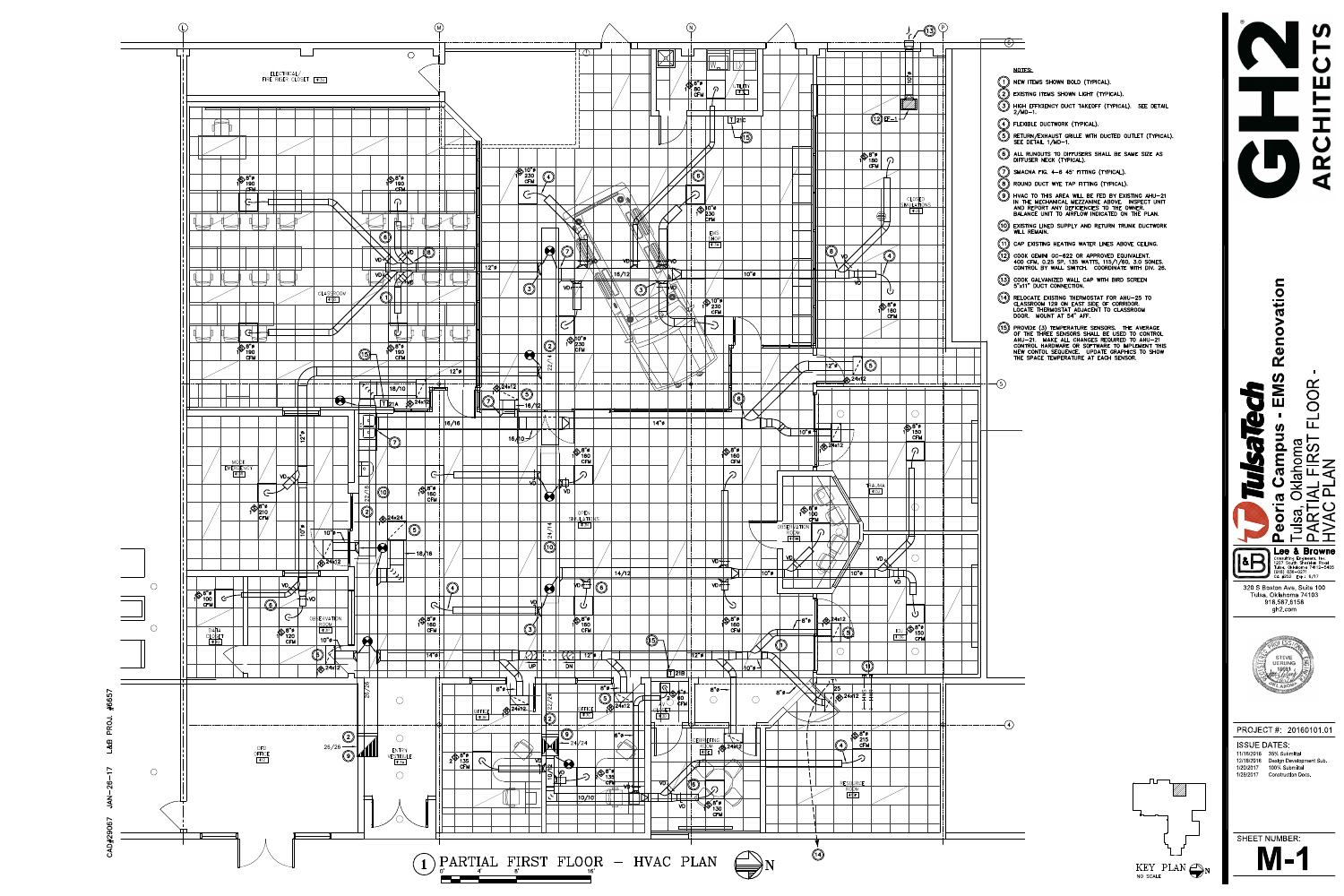PARTIAL FIRST FLOOR -<br>HVAC PLAN<br>T  $\overline{\bigcirc}$ Ш **® NEW ITEMS SHOWN BOLD (TYPICAL). fy EXISTING ITEMS SHOWN UGHT (TYPICAL). (7) HIGH EFFICIENCY DUCT TAKEOFF (TYPICAL). SEE DETAIL 2/MD —1. (Q FLEXIBLE DUCTWORK (TYPICAL). f?) RETURN/EXHAUST GRILLE WITH DUCTED OUTLET (TYPICAL). SEE DETAIL 1/MD-1. 6 ALL RUNOUTS TO DIFFUSERS SHALL BE SAME SIZE AS** œ **DIFFUSER NECK (TYPICAL). Q) SMACNA FIG. 4-6 45\* FITTING (TYPICAL). fy ROUND DUCT WYE TAP FITTING (TYPICAL). HVAC TO THIS AREA WILL BE FED BY EXISTING AHU-21** © **IN THE MECHANICAL MEZZANINE ABOVE. INSPECT UNIT AND REPORT ANY DEFICIENCIES TO THE OWNER. BALANCE UNIT TO AIRFLOW INDICATED ON THE PLAN. (M2) COOK GEMINI GC —622 OR APPROVED EQUIVALENT. 400 CFM, 0.25 SP, 135 WATTS, 115/1/60, 3.0 SONES. CONTROL BY WALL SWITCH. COORDINATE WITH DIV. 26. 13» COOK GALVANIZED WALL CAP WITH BIRD SCREEN Peoria Campus - EMS Renovation ^ 5"x11" DUCT CONNECTION.**  $\bullet$  $\overline{\mathbf{t}}$ **^ CLASSROOM 129 ON EAST SIDE OF CORRIDOR. LOCATE THERMOSTAT ADJACENT TO CLASSROOM DOOR. MOUNT AT 54\* AFF.**  $\bigcirc$   $\bigcirc$   $\bigcirc$   $\bigcirc$   $\bigcirc$   $\bigcirc$   $\bigcirc$   $\bigcirc$   $\bigcirc$   $\bigcirc$   $\bigcirc$   $\bigcirc$   $\bigcirc$   $\bigcirc$   $\bigcirc$   $\bigcirc$   $\bigcirc$   $\bigcirc$   $\bigcirc$   $\bigcirc$   $\bigcirc$   $\bigcirc$   $\bigcirc$   $\bigcirc$   $\bigcirc$   $\bigcirc$   $\bigcirc$   $\bigcirc$   $\bigcirc$   $\bigcirc$   $\bigcirc$   $\bigcirc$   $\bigcirc$   $\bigcirc$   $\bigcirc$   $\bigcirc$   $\bigcirc$ **AHU-21. MAKE ALL CHANGES REQUIRED TO AHU-21 CONTROL HARDWARE OR SOFTWARE TO IMPLEMENT THIS NEW CONTOL SEQUENCE. UPDATE GRAPHICS TO SHOW THE SPACE TEMPERATURE AT EACH SENSOR.**  $\alpha$ PARTIAL FIRST FLOOR-**OOR** N **9** Ш **£**  $\blacksquare$  $\boxed{\blacksquare}$ **SP**  $\Box$ Tulsa, Oklahoma  $\overline{\sigma}$ ©<br>©<br>M<br>S **No**  $\mathbf{\Omega}$  $\overline{\mathsf{E}}$ V Isa, Oklaho<br>RTIAL FI<br>AC PLAN **CO 5** oria **NEAN**<br>NA  $\bullet$  $\mathbf{\Omega}$ **Lee & Browne H Consulting Engineers, Inc. 1207 South Sheridan Road Tulsa, Oklahoma 74112 —5405 (918) 836-0271 CA #252 Exp.: 6/17** 320 S Boston Ave, Suite 100 Tulsa, Oklahoma 74103 918.587.6158 gh2.com STEVE **UERLING AO &**  $-$ (4) PROJECT#: 20160101.01 ISSUE DATES: 11/16/2016 35% Submittal 12/16/2016 Design Development Sub. 100% Submittal 1/20/2017 1/26/2017 Construction Docs. ROOM **Product** the contract of the contract of the contract of the contract of the contract of the contract of the contract of the contract of the contract of the contract of the contract of the contract of the contract of SHEET NUMBER: **M-1**



**CAD#29067 J A N -2 6 -1 7 L&B PROJ. #6657**



NO SCALE